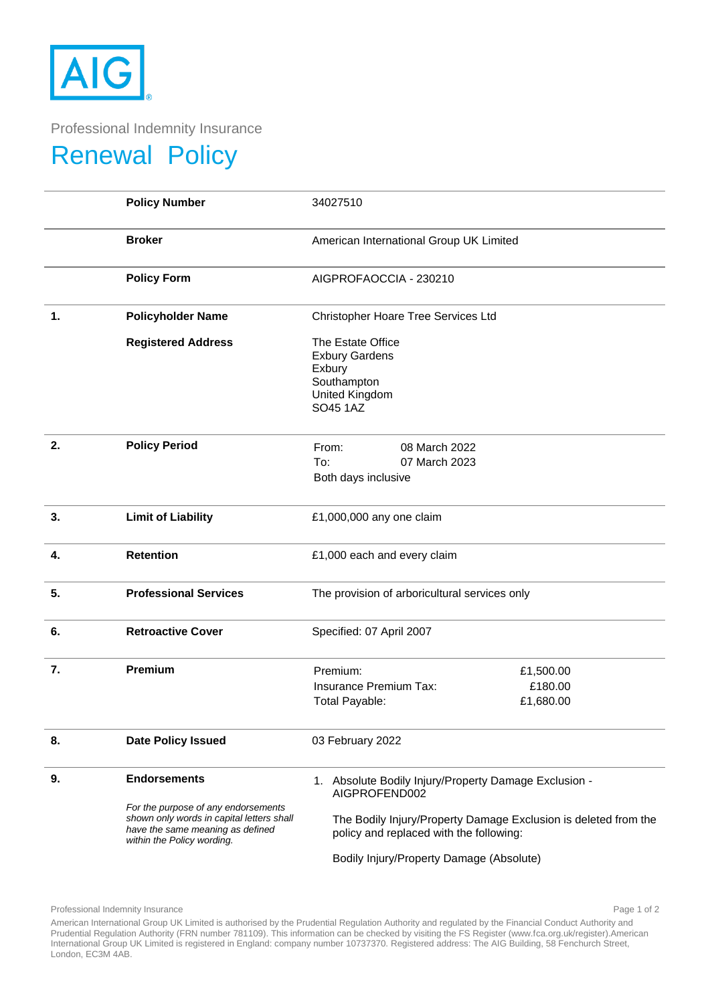

Professional Indemnity Insurance

## Renewal Policy

|    | <b>Policy Number</b>                                                                                        | 34027510                                                                                                   |
|----|-------------------------------------------------------------------------------------------------------------|------------------------------------------------------------------------------------------------------------|
|    | <b>Broker</b>                                                                                               | American International Group UK Limited                                                                    |
|    | <b>Policy Form</b>                                                                                          | AIGPROFAOCCIA - 230210                                                                                     |
| 1. | <b>Policyholder Name</b>                                                                                    | Christopher Hoare Tree Services Ltd                                                                        |
|    | <b>Registered Address</b>                                                                                   | The Estate Office<br><b>Exbury Gardens</b><br>Exbury<br>Southampton<br>United Kingdom<br>SO45 1AZ          |
| 2. | <b>Policy Period</b>                                                                                        | 08 March 2022<br>From:<br>To:<br>07 March 2023<br>Both days inclusive                                      |
| 3. | <b>Limit of Liability</b>                                                                                   | £1,000,000 any one claim                                                                                   |
| 4. | <b>Retention</b>                                                                                            | £1,000 each and every claim                                                                                |
| 5. | <b>Professional Services</b>                                                                                | The provision of arboricultural services only                                                              |
| 6. | <b>Retroactive Cover</b>                                                                                    | Specified: 07 April 2007                                                                                   |
| 7. | Premium                                                                                                     | Premium:<br>£1,500.00<br>Insurance Premium Tax:<br>£180.00<br><b>Total Payable:</b><br>£1,680.00           |
| 8. | <b>Date Policy Issued</b>                                                                                   | 03 February 2022                                                                                           |
| 9. | <b>Endorsements</b><br>For the purpose of any endorsements                                                  | 1. Absolute Bodily Injury/Property Damage Exclusion -<br>AIGPROFEND002                                     |
|    | shown only words in capital letters shall<br>have the same meaning as defined<br>within the Policy wording. | The Bodily Injury/Property Damage Exclusion is deleted from the<br>policy and replaced with the following: |
|    |                                                                                                             | Bodily Injury/Property Damage (Absolute)                                                                   |

Professional Indemnity Insurance **Page 1 of 2** and 2 and 2 and 2 and 2 and 2 and 2 and 2 and 2 and 2 and 2 and 2 and 2 and 2 and 2 and 2 and 2 and 2 and 2 and 2 and 2 and 2 and 2 and 2 and 2 and 2 and 2 and 2 and 2 and 2 a

American International Group UK Limited is authorised by the Prudential Regulation Authority and regulated by the Financial Conduct Authority and Prudential Regulation Authority (FRN number 781109). This information can be checked by visiting the FS Register (www.fca.org.uk/register).American International Group UK Limited is registered in England: company number 10737370. Registered address: The AIG Building, 58 Fenchurch Street, London, EC3M 4AB.